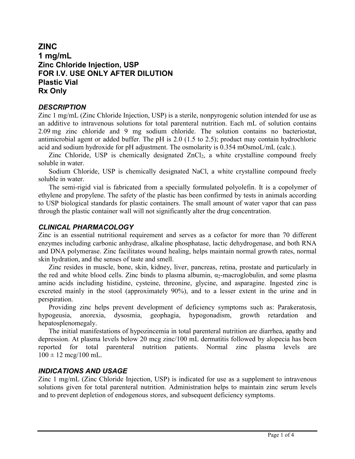# **ZINC 1 mg/mL Zinc Chloride Injection, USP FOR I.V. USE ONLY AFTER DILUTION Plastic Vial Rx Only**

## *DESCRIPTION*

Zinc 1 mg/mL (Zinc Chloride Injection, USP) is a sterile, nonpyrogenic solution intended for use as an additive to intravenous solutions for total parenteral nutrition. Each mL of solution contains 2.09 mg zinc chloride and 9 mg sodium chloride. The solution contains no bacteriostat, antimicrobial agent or added buffer. The pH is 2.0 (1.5 to 2.5); product may contain hydrochloric acid and sodium hydroxide for pH adjustment. The osmolarity is 0.354 mOsmoL/mL (calc.).

Zinc Chloride, USP is chemically designated ZnCl<sub>2</sub>, a white crystalline compound freely soluble in water.

Sodium Chloride, USP is chemically designated NaCl, a white crystalline compound freely soluble in water.

The semi-rigid vial is fabricated from a specially formulated polyolefin. It is a copolymer of ethylene and propylene. The safety of the plastic has been confirmed by tests in animals according to USP biological standards for plastic containers. The small amount of water vapor that can pass through the plastic container wall will not significantly alter the drug concentration.

## *CLINICAL PHARMACOLOGY*

Zinc is an essential nutritional requirement and serves as a cofactor for more than 70 different enzymes including carbonic anhydrase, alkaline phosphatase, lactic dehydrogenase, and both RNA and DNA polymerase. Zinc facilitates wound healing, helps maintain normal growth rates, normal skin hydration, and the senses of taste and smell.

Zinc resides in muscle, bone, skin, kidney, liver, pancreas, retina, prostate and particularly in the red and white blood cells. Zinc binds to plasma albumin,  $\alpha_2$ -macroglobulin, and some plasma amino acids including histidine, cysteine, threonine, glycine, and asparagine. Ingested zinc is excreted mainly in the stool (approximately 90%), and to a lesser extent in the urine and in perspiration.

Providing zinc helps prevent development of deficiency symptoms such as: Parakeratosis, hypogeusia, anorexia, dysosmia, geophagia, hypogonadism, growth retardation and hepatosplenomegaly.

The initial manifestations of hypozincemia in total parenteral nutrition are diarrhea, apathy and depression. At plasma levels below 20 mcg zinc/100 mL dermatitis followed by alopecia has been reported for total parenteral nutrition patients. Normal zinc plasma levels are  $100 \pm 12 \text{~mcg}/100 \text{~mL}.$ 

## *INDICATIONS AND USAGE*

Zinc 1 mg/mL (Zinc Chloride Injection, USP) is indicated for use as a supplement to intravenous solutions given for total parenteral nutrition. Administration helps to maintain zinc serum levels and to prevent depletion of endogenous stores, and subsequent deficiency symptoms.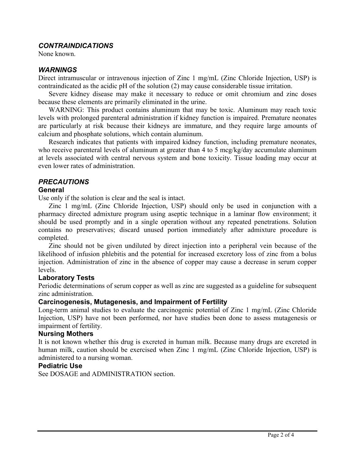## *CONTRAINDICATIONS*

None known.

### *WARNINGS*

Direct intramuscular or intravenous injection of Zinc 1 mg/mL (Zinc Chloride Injection, USP) is contraindicated as the acidic pH of the solution (2) may cause considerable tissue irritation.

Severe kidney disease may make it necessary to reduce or omit chromium and zinc doses because these elements are primarily eliminated in the urine.

WARNING: This product contains aluminum that may be toxic. Aluminum may reach toxic levels with prolonged parenteral administration if kidney function is impaired. Premature neonates are particularly at risk because their kidneys are immature, and they require large amounts of calcium and phosphate solutions, which contain aluminum.

Research indicates that patients with impaired kidney function, including premature neonates, who receive parenteral levels of aluminum at greater than 4 to 5 mcg/kg/day accumulate aluminum at levels associated with central nervous system and bone toxicity. Tissue loading may occur at even lower rates of administration.

## *PRECAUTIONS*

#### **General**

Use only if the solution is clear and the seal is intact.

Zinc 1 mg/mL (Zinc Chloride Injection, USP) should only be used in conjunction with a pharmacy directed admixture program using aseptic technique in a laminar flow environment; it should be used promptly and in a single operation without any repeated penetrations. Solution contains no preservatives; discard unused portion immediately after admixture procedure is completed.

Zinc should not be given undiluted by direct injection into a peripheral vein because of the likelihood of infusion phlebitis and the potential for increased excretory loss of zinc from a bolus injection. Administration of zinc in the absence of copper may cause a decrease in serum copper levels.

#### **Laboratory Tests**

Periodic determinations of serum copper as well as zinc are suggested as a guideline for subsequent zinc administration.

#### **Carcinogenesis, Mutagenesis, and Impairment of Fertility**

Long-term animal studies to evaluate the carcinogenic potential of Zinc 1 mg/mL (Zinc Chloride Injection, USP) have not been performed, nor have studies been done to assess mutagenesis or impairment of fertility.

#### **Nursing Mothers**

It is not known whether this drug is excreted in human milk. Because many drugs are excreted in human milk, caution should be exercised when Zinc 1 mg/mL (Zinc Chloride Injection, USP) is administered to a nursing woman.

#### **Pediatric Use**

See DOSAGE and ADMINISTRATION section.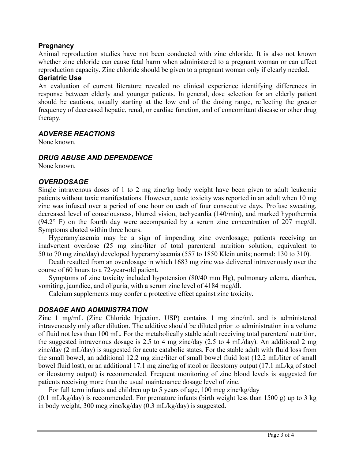## **Pregnancy**

Animal reproduction studies have not been conducted with zinc chloride. It is also not known whether zinc chloride can cause fetal harm when administered to a pregnant woman or can affect reproduction capacity. Zinc chloride should be given to a pregnant woman only if clearly needed.

## **Geriatric Use**

An evaluation of current literature revealed no clinical experience identifying differences in response between elderly and younger patients. In general, dose selection for an elderly patient should be cautious, usually starting at the low end of the dosing range, reflecting the greater frequency of decreased hepatic, renal, or cardiac function, and of concomitant disease or other drug therapy.

### *ADVERSE REACTIONS*

None known.

### *DRUG ABUSE AND DEPENDENCE*

None known.

## *OVERDOSAGE*

Single intravenous doses of 1 to 2 mg zinc/kg body weight have been given to adult leukemic patients without toxic manifestations. However, acute toxicity was reported in an adult when 10 mg zinc was infused over a period of one hour on each of four consecutive days. Profuse sweating, decreased level of consciousness, blurred vision, tachycardia (140/min), and marked hypothermia  $(94.2^{\circ}$  F) on the fourth day were accompanied by a serum zinc concentration of 207 mcg/dl. Symptoms abated within three hours.

Hyperamylasemia may be a sign of impending zinc overdosage; patients receiving an inadvertent overdose (25 mg zinc/liter of total parenteral nutrition solution, equivalent to 50 to 70 mg zinc/day) developed hyperamylasemia (557 to 1850 Klein units; normal: 130 to 310).

Death resulted from an overdosage in which 1683 mg zinc was delivered intravenously over the course of 60 hours to a 72-year-old patient.

Symptoms of zinc toxicity included hypotension (80/40 mm Hg), pulmonary edema, diarrhea, vomiting, jaundice, and oliguria, with a serum zinc level of 4184 mcg/dl.

Calcium supplements may confer a protective effect against zinc toxicity.

## *DOSAGE AND ADMINISTRATION*

Zinc 1 mg/mL (Zinc Chloride Injection, USP) contains 1 mg zinc/mL and is administered intravenously only after dilution. The additive should be diluted prior to administration in a volume of fluid not less than 100 mL. For the metabolically stable adult receiving total parenteral nutrition, the suggested intravenous dosage is 2.5 to 4 mg zinc/day (2.5 to 4 mL/day). An additional 2 mg zinc/day (2 mL/day) is suggested for acute catabolic states. For the stable adult with fluid loss from the small bowel, an additional 12.2 mg zinc/liter of small bowel fluid lost (12.2 mL/liter of small bowel fluid lost), or an additional 17.1 mg zinc/kg of stool or ileostomy output (17.1 mL/kg of stool or ileostomy output) is recommended. Frequent monitoring of zinc blood levels is suggested for patients receiving more than the usual maintenance dosage level of zinc.

For full term infants and children up to 5 years of age, 100 mcg zinc/kg/day

 $(0.1 \text{ mL/kg/day})$  is recommended. For premature infants (birth weight less than 1500 g) up to 3 kg in body weight, 300 mcg zinc/kg/day (0.3 mL/kg/day) is suggested.